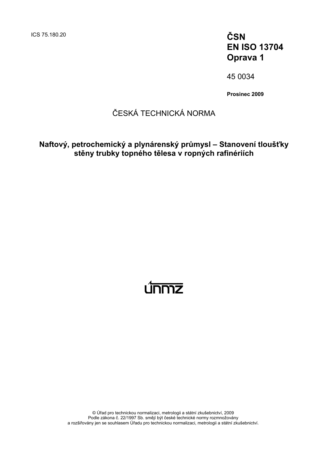ICS 75.180.20 **ČSN** 

# **EN ISO 13704 Oprava 1**

45 0034

**Prosinec 2009** 

## ČESKÁ TECHNICKÁ NORMA

**Naftový, petrochemický a plynárenský průmysl – Stanovení tloušťky stěny trubky topného tělesa v ropných rafinériích** 

# unnz

© Úřad pro technickou normalizaci, metrologii a státní zkušebnictví, 2009 Podle zákona č. 22/1997 Sb. smějí být české technické normy rozmnožovány a rozšiřovány jen se souhlasem Úřadu pro technickou normalizaci, metrologii a státní zkušebnictví.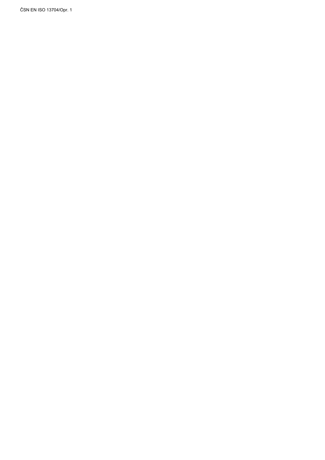ČSN EN ISO 13704/Opr. 1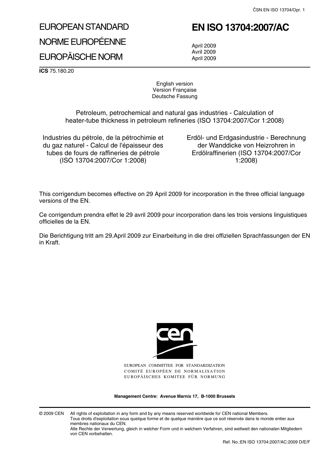# EUROPEAN STANDARD NORME EUROPÉENNE EUROPÄISCHE NORM

# **EN ISO 13704:2007/AC**

April 2009 Avril 2009 April 2009

**ICS** 75.180.20

English version Version Française Deutsche Fassung

Petroleum, petrochemical and natural gas industries - Calculation of heater-tube thickness in petroleum refineries (ISO 13704:2007/Cor 1:2008)

Industries du pétrole, de la pétrochimie et du gaz naturel - Calcul de l'épaisseur des tubes de fours de raffineries de pétrole (ISO 13704:2007/Cor 1:2008)

Erdöl- und Erdgasindustrie - Berechnung der Wanddicke von Heizrohren in Erdölraffinerien (ISO 13704:2007/Cor 1:2008)

This corrigendum becomes effective on 29 April 2009 for incorporation in the three official language versions of the EN.

Ce corrigendum prendra effet le 29 avril 2009 pour incorporation dans les trois versions linguistiques officielles de la EN.

Die Berichtigung tritt am 29.April 2009 zur Einarbeitung in die drei offiziellen Sprachfassungen der EN in Kraft.



EUROPEAN COMMITTEE FOR STANDARDIZATION COMITÉ EUROPÉEN DE NORMALISATION EUROPÄISCHES KOMITEE FÜR NORMUNG

**Management Centre: Avenue Marnix 17, B-1000 Brussels**

© 2009 CEN All rights of exploitation in any form and by any means reserved worldwide for CEN national Members. Tous droits d'exploitation sous quelque forme et de quelque manière que ce soit réservés dans le monde entier aux membres nationaux du CEN.

Alle Rechte der Verwertung, gleich in welcher Form und in welchem Verfahren, sind weltweit den nationalen Mitgliedern von CEN vorbehalten.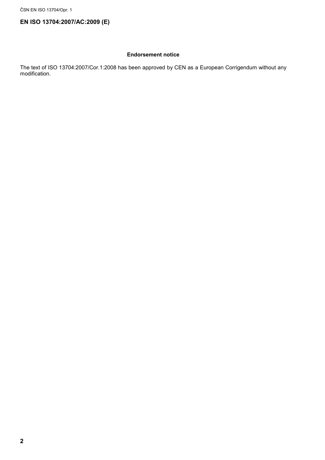ČSN EN ISO 13704/Opr. 1

## **EN ISO 13704:2007/AC:2009 (E)**

#### **Endorsement notice**

The text of ISO 13704:2007/Cor.1:2008 has been approved by CEN as a European Corrigendum without any modification.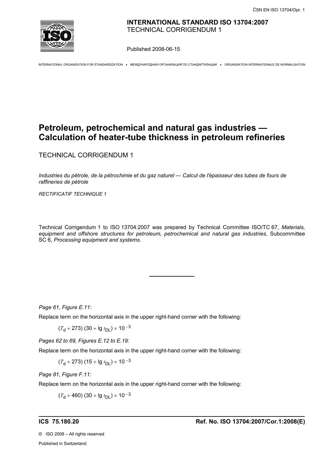

#### **INTERNATIONAL STANDARD ISO 13704:2007**  TECHNICAL CORRIGENDUM 1

Published 2008-06-15

INTERNATIONAL ORGANIZATION FOR STANDARDIZATION • МЕЖДУНАРОДНАЯ ОРГАНИЗАЦИЯ ПО СТАНДАРТИЗАЦИИ • ORGANISATION INTERNATIONALE DE NORMALISATION

## **Petroleum, petrochemical and natural gas industries — Calculation of heater-tube thickness in petroleum refineries**

TECHNICAL CORRIGENDUM 1

*Industries du pétrole, de la pétrochimie et du gaz naturel — Calcul de l'épaisseur des tubes de fours de raffineries de pétrole* 

*RECTIFICATIF TECHNIQUE 1*

Technical Corrigendum 1 to ISO 13704:2007 was prepared by Technical Committee ISO/TC 67, *Materials, equipment and offshore structures for petroleum, petrochemical and natural gas industries*, Subcommittee SC 6, *Processing equipment and systems*.

*Page 61, Figure E.11:*

Replace term on the horizontal axis in the upper right-hand corner with the following:

 $\overline{a}$ 

 $(T<sub>d</sub> + 273)$  (30 + lg  $t<sub>DL</sub>$ ) × 10<sup>-3</sup>

*Pages 62 to 69, Figures E.12 to E.19:*

Replace term on the horizontal axis in the upper right-hand corner with the following:

 $(T<sub>d</sub> + 273)$  (15 + lg  $t<sub>DL</sub>$ ) × 10<sup>-3</sup>

*Page 81, Figure F.11:*

Replace term on the horizontal axis in the upper right-hand corner with the following:

 $(T<sub>d</sub> + 460)$  (30 + lg  $t<sub>DL</sub>$ ) × 10<sup>-3</sup>

©ISO 2008 – All rights reserved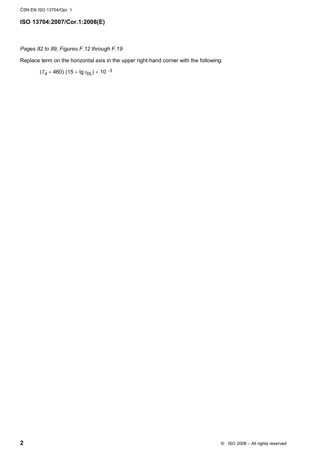ČSN EN ISO 13704/Opr. 1

### **ISO 13704:2007/Cor.1:2008(E)**

### *Pages 82 to 89, Figures F.12 through F.19*

Replace term on the horizontal axis in the upper right-hand corner with the following:

 $(T<sub>d</sub> + 460)$  (15 + lg  $t<sub>DL</sub>$ ) × 10<sup>-3</sup>